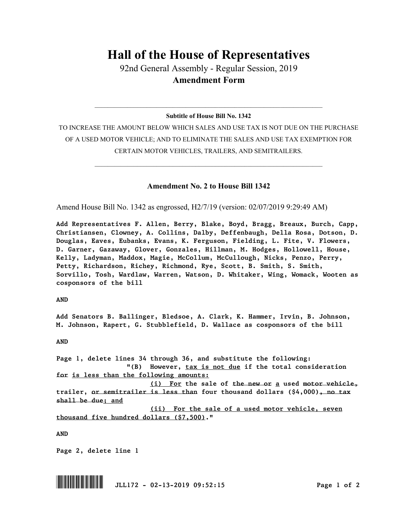## **Hall of the House of Representatives**

92nd General Assembly - Regular Session, 2019 **Amendment Form**

## $\_$  , and the set of the set of the set of the set of the set of the set of the set of the set of the set of the set of the set of the set of the set of the set of the set of the set of the set of the set of the set of th **Subtitle of House Bill No. 1342**

TO INCREASE THE AMOUNT BELOW WHICH SALES AND USE TAX IS NOT DUE ON THE PURCHASE OF A USED MOTOR VEHICLE; AND TO ELIMINATE THE SALES AND USE TAX EXEMPTION FOR CERTAIN MOTOR VEHICLES, TRAILERS, AND SEMITRAILERS.

 $\_$  , and the set of the set of the set of the set of the set of the set of the set of the set of the set of the set of the set of the set of the set of the set of the set of the set of the set of the set of the set of th

## **Amendment No. 2 to House Bill 1342**

Amend House Bill No. 1342 as engrossed, H2/7/19 (version: 02/07/2019 9:29:49 AM)

*Add Representatives F. Allen, Berry, Blake, Boyd, Bragg, Breaux, Burch, Capp, Christiansen, Clowney, A. Collins, Dalby, Deffenbaugh, Della Rosa, Dotson, D. Douglas, Eaves, Eubanks, Evans, K. Ferguson, Fielding, L. Fite, V. Flowers, D. Garner, Gazaway, Glover, Gonzales, Hillman, M. Hodges, Hollowell, House, Kelly, Ladyman, Maddox, Magie, McCollum, McCullough, Nicks, Penzo, Perry, Petty, Richardson, Richey, Richmond, Rye, Scott, B. Smith, S. Smith, Sorvillo, Tosh, Wardlaw, Warren, Watson, D. Whitaker, Wing, Womack, Wooten as cosponsors of the bill*

*AND*

*Add Senators B. Ballinger, Bledsoe, A. Clark, K. Hammer, Irvin, B. Johnson, M. Johnson, Rapert, G. Stubblefield, D. Wallace as cosponsors of the bill*

*AND*

*Page 1, delete lines 34 through 36, and substitute the following: "(B) However, tax is not due if the total consideration for is less than the following amounts: (i) For the sale of the new or a used motor vehicle, trailer, or semitrailer is less than four thousand dollars (\$4,000), no tax shall be due; and (ii) For the sale of a used motor vehicle, seven thousand five hundred dollars (\$7,500)."*

*AND*

*Page 2, delete line 1*